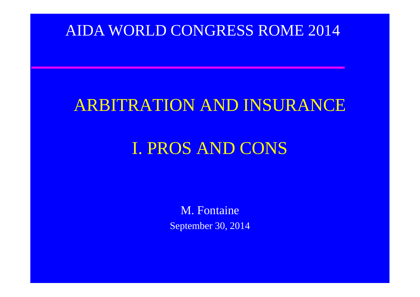### AIDA WORLD CONGRESS ROME 2014

### ARBITRATION AND INSURANCE

### I. PROS AND CONS

M. Fontaine September 30, 2014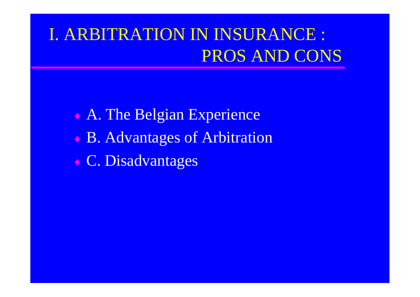## I. ARBITRATION IN INSURANCE : PROS AND CONS

 A. The Belgian Experience B. Advantages of Arbitration C. Disadvantages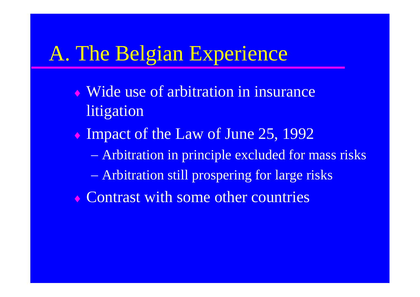# A. The Belgian Experience

- Wide use of arbitration in insurance litigation
- Impact of the Law of June 25, 1992
	- Arbitration in principle excluded for mass risks
	- Arbitration still prospering for large risks
- Contrast with some other countries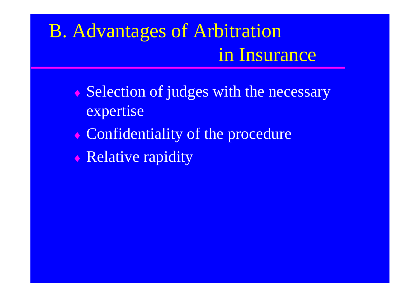# B. Advantages of Arbitration in Insurance

- Selection of judges with the necessary expertise
- Confidentiality of the procedure
- **Relative rapidity**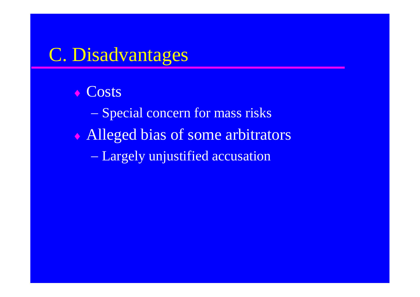### C. Disadvantages

← Costs - Special concern for mass risks Alleged bias of some arbitrators Largely unjustified accusation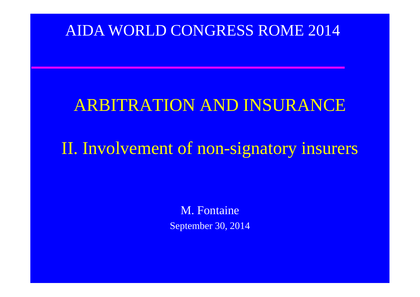### AIDA WORLD CONGRESS ROME 2014

### ARBITRATION AND INSURANCE

### II. Involvement of non-signatory insurers

M. Fontaine September 30, 2014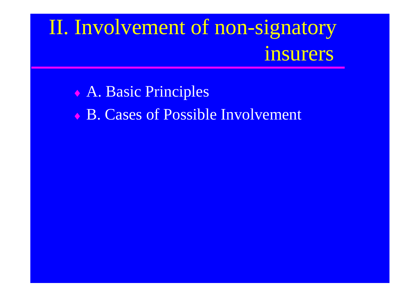# II. Involvement of non-signatory insurers

 A. Basic Principles **B. Cases of Possible Involvement**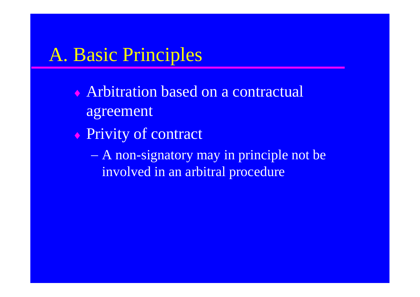### A. Basic Principles

- Arbitration based on a contractual agreement
- ◆ Privity of contract
	- A non-signatory may in principle not be involved in an arbitral procedure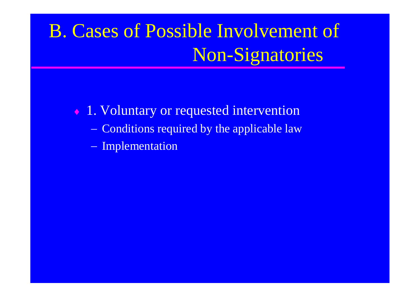- $\cdot$  1. Voluntary or requested intervention
	- Conditions required by the applicable law
	- Implementation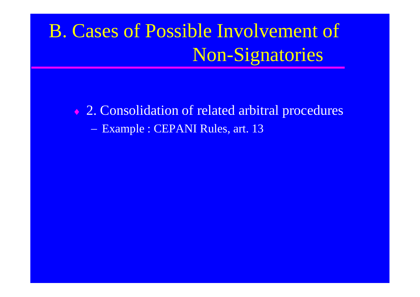◆ 2. Consolidation of related arbitral procedures - Example : CEPANI Rules, art. 13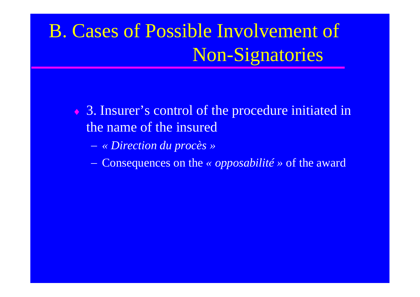- 3. Insurer's control of the procedure initiated in the name of the insured
	- *« Direction du procès »*
	- Consequences on the *« opposabilité »* of the award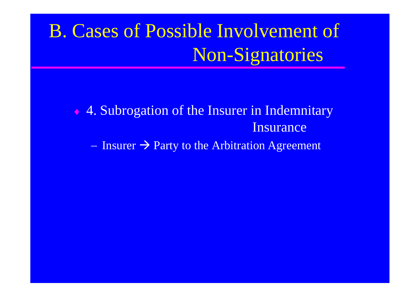◆ 4. Subrogation of the Insurer in Indemnitary Insurance  $I$  - Insurer  $\rightarrow$  Party to the Arbitration Agreement